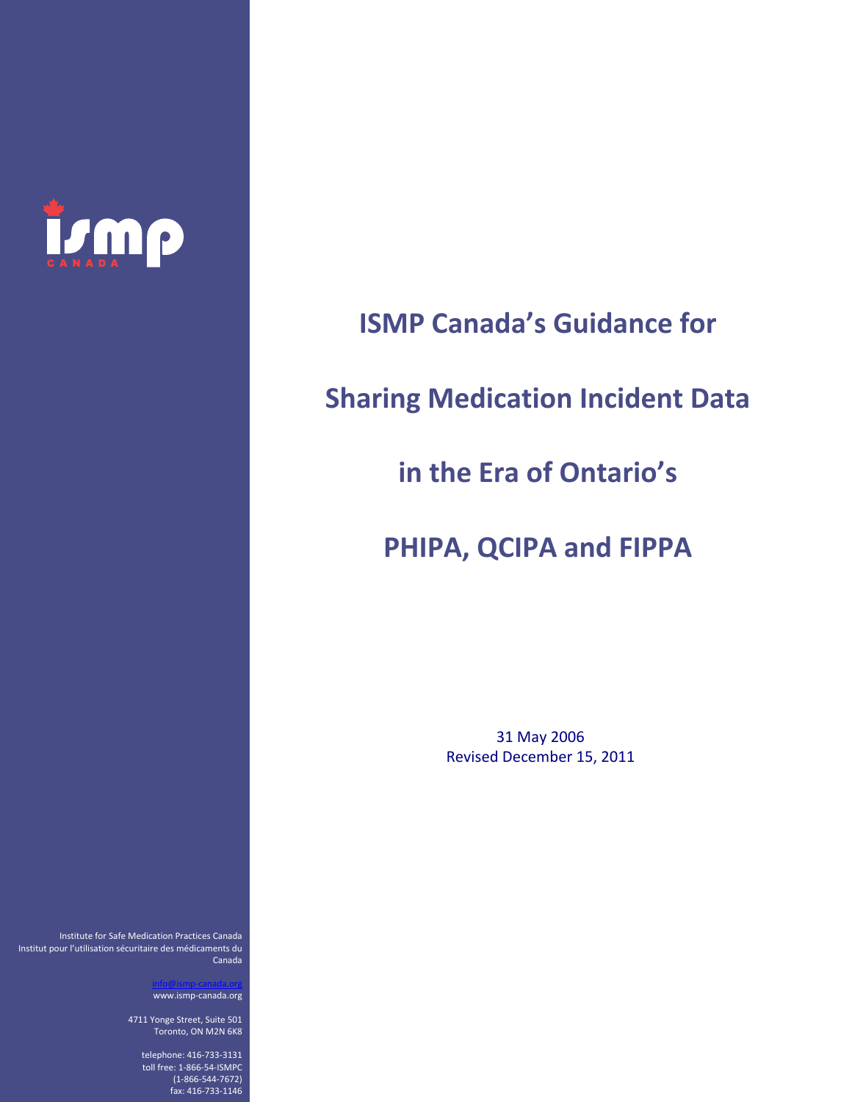

# **ISMP Canada's Guidance for**

## **Sharing Medication Incident Data**

## **in the Era of Ontario's**

# **PHIPA, QCIPA and FIPPA**

31 May 2006 Revised December 15, 2011

Institute for Safe Medication Practices Canada Institut pour l'utilisation sécuritaire des médicaments du Canada

> info@ismp‐canada.org www.ismp‐canada.org

4711 Yonge Street, Suite 501 Toronto, ON M2N 6K8

> telephone: 416‐733‐3131 toll free: 1‐866‐54‐ISMPC (1‐866‐544‐7672) fax: 416‐733‐1146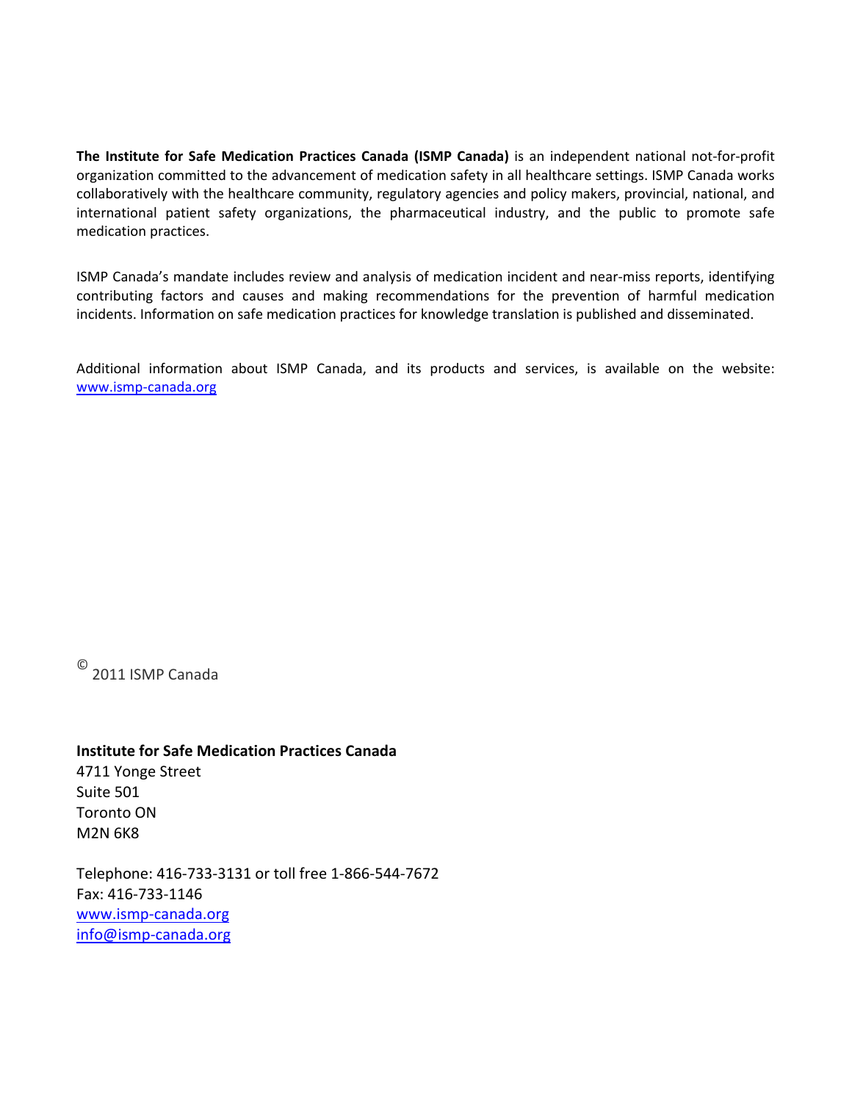**The Institute for Safe Medication Practices Canada (ISMP Canada)** is an independent national not‐for‐profit organization committed to the advancement of medication safety in all healthcare settings. ISMP Canada works collaboratively with the healthcare community, regulatory agencies and policy makers, provincial, national, and international patient safety organizations, the pharmaceutical industry, and the public to promote safe medication practices.

ISMP Canada's mandate includes review and analysis of medication incident and near‐miss reports, identifying contributing factors and causes and making recommendations for the prevention of harmful medication incidents. Information on safe medication practices for knowledge translation is published and disseminated.

Additional information about ISMP Canada, and its products and services, is available on the website: www.ismp‐canada.org

 $^{\circ}$  2011 ISMP Canada

**Institute for Safe Medication Practices Canada** 4711 Yonge Street Suite 501 Toronto ON M2N 6K8

Telephone: 416‐733‐3131 or toll free 1‐866‐544‐7672 Fax: 416‐733‐1146 www.ismp‐canada.org info@ismp‐canada.org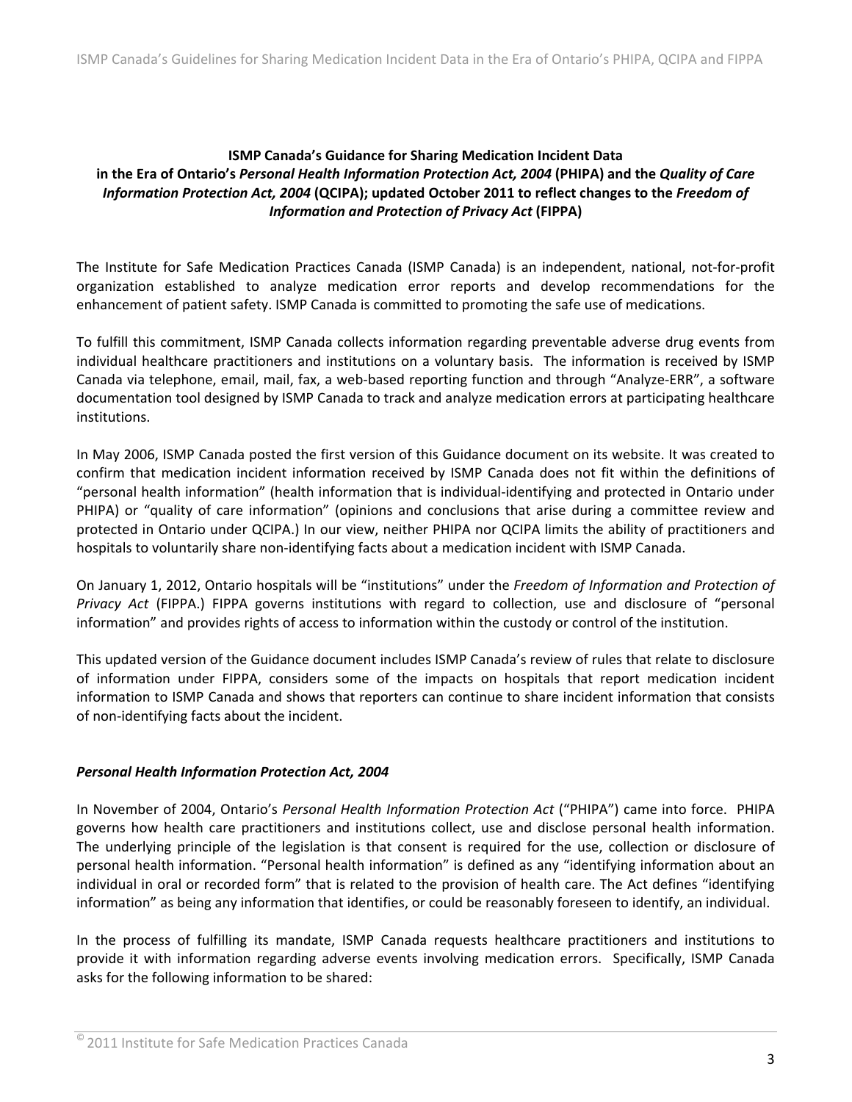### **ISMP Canada's Guidance for Sharing Medication Incident Data in the Era of Ontario's** *Personal Health Information Protection Act, 2004* **(PHIPA) and the** *Quality of Care Information Protection Act, 2004* **(QCIPA); updated October 2011 to reflect changes to the** *Freedom of Information and Protection of Privacy Act* **(FIPPA)**

The Institute for Safe Medication Practices Canada (ISMP Canada) is an independent, national, not‐for‐profit organization established to analyze medication error reports and develop recommendations for the enhancement of patient safety. ISMP Canada is committed to promoting the safe use of medications.

To fulfill this commitment, ISMP Canada collects information regarding preventable adverse drug events from individual healthcare practitioners and institutions on a voluntary basis. The information is received by ISMP Canada via telephone, email, mail, fax, a web‐based reporting function and through "Analyze‐ERR", a software documentation tool designed by ISMP Canada to track and analyze medication errors at participating healthcare institutions.

In May 2006, ISMP Canada posted the first version of this Guidance document on its website. It was created to confirm that medication incident information received by ISMP Canada does not fit within the definitions of "personal health information" (health information that is individual‐identifying and protected in Ontario under PHIPA) or "quality of care information" (opinions and conclusions that arise during a committee review and protected in Ontario under QCIPA.) In our view, neither PHIPA nor QCIPA limits the ability of practitioners and hospitals to voluntarily share non‐identifying facts about a medication incident with ISMP Canada.

On January 1, 2012, Ontario hospitals will be "institutions" under the *Freedom of Information and Protection of Privacy Act* (FIPPA.) FIPPA governs institutions with regard to collection, use and disclosure of "personal information" and provides rights of access to information within the custody or control of the institution.

This updated version of the Guidance document includes ISMP Canada's review of rules that relate to disclosure of information under FIPPA, considers some of the impacts on hospitals that report medication incident information to ISMP Canada and shows that reporters can continue to share incident information that consists of non‐identifying facts about the incident.

#### *Personal Health Information Protection Act, 2004*

In November of 2004, Ontario's *Personal Health Information Protection Act* ("PHIPA") came into force. PHIPA governs how health care practitioners and institutions collect, use and disclose personal health information. The underlying principle of the legislation is that consent is required for the use, collection or disclosure of personal health information. "Personal health information" is defined as any "identifying information about an individual in oral or recorded form" that is related to the provision of health care. The Act defines "identifying information" as being any information that identifies, or could be reasonably foreseen to identify, an individual.

In the process of fulfilling its mandate, ISMP Canada requests healthcare practitioners and institutions to provide it with information regarding adverse events involving medication errors. Specifically, ISMP Canada asks for the following information to be shared: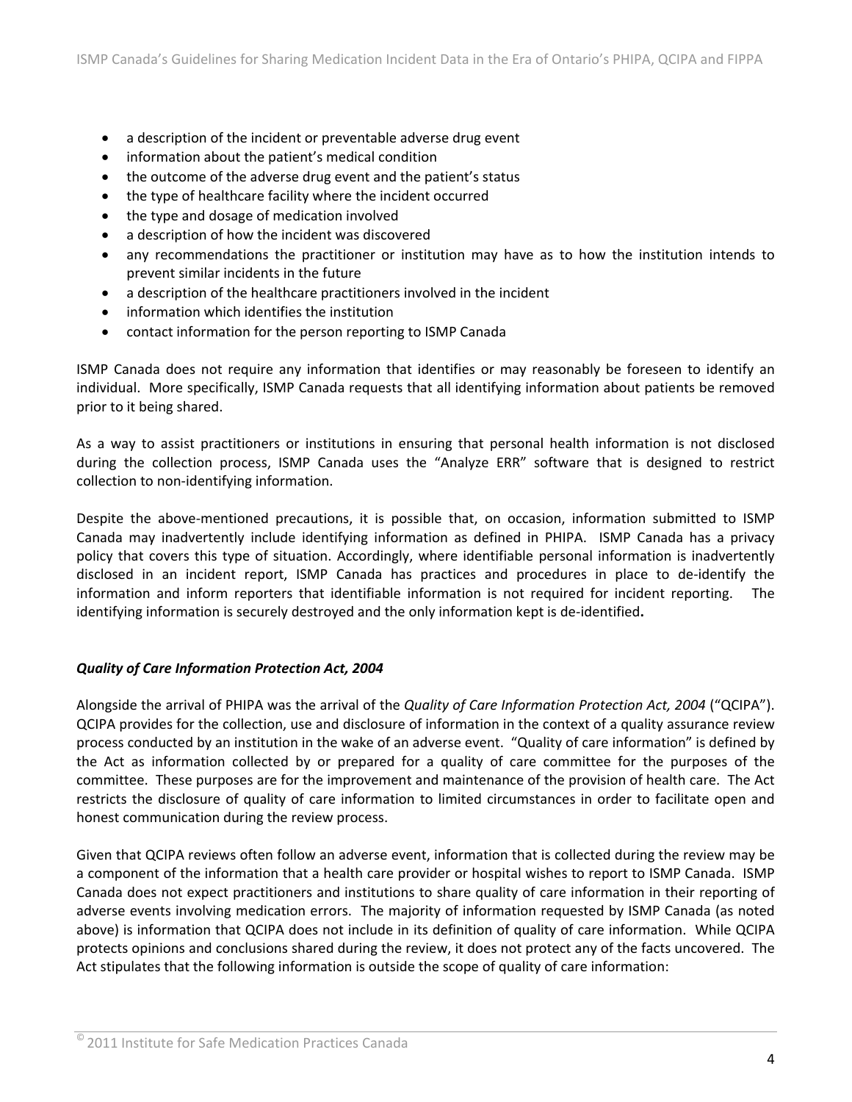- a description of the incident or preventable adverse drug event
- information about the patient's medical condition
- the outcome of the adverse drug event and the patient's status
- the type of healthcare facility where the incident occurred
- the type and dosage of medication involved
- a description of how the incident was discovered
- any recommendations the practitioner or institution may have as to how the institution intends to prevent similar incidents in the future
- a description of the healthcare practitioners involved in the incident
- information which identifies the institution
- contact information for the person reporting to ISMP Canada

ISMP Canada does not require any information that identifies or may reasonably be foreseen to identify an individual. More specifically, ISMP Canada requests that all identifying information about patients be removed prior to it being shared.

As a way to assist practitioners or institutions in ensuring that personal health information is not disclosed during the collection process, ISMP Canada uses the "Analyze ERR" software that is designed to restrict collection to non‐identifying information.

Despite the above-mentioned precautions, it is possible that, on occasion, information submitted to ISMP Canada may inadvertently include identifying information as defined in PHIPA. ISMP Canada has a privacy policy that covers this type of situation. Accordingly, where identifiable personal information is inadvertently disclosed in an incident report, ISMP Canada has practices and procedures in place to de‐identify the information and inform reporters that identifiable information is not required for incident reporting.  The identifying information is securely destroyed and the only information kept is de‐identified**.**

#### *Quality of Care Information Protection Act, 2004*

Alongside the arrival of PHIPA was the arrival of the *Quality of Care Information Protection Act, 2004* ("QCIPA"). QCIPA provides for the collection, use and disclosure of information in the context of a quality assurance review process conducted by an institution in the wake of an adverse event. "Quality of care information" is defined by the Act as information collected by or prepared for a quality of care committee for the purposes of the committee. These purposes are for the improvement and maintenance of the provision of health care. The Act restricts the disclosure of quality of care information to limited circumstances in order to facilitate open and honest communication during the review process.

Given that QCIPA reviews often follow an adverse event, information that is collected during the review may be a component of the information that a health care provider or hospital wishes to report to ISMP Canada. ISMP Canada does not expect practitioners and institutions to share quality of care information in their reporting of adverse events involving medication errors. The majority of information requested by ISMP Canada (as noted above) is information that QCIPA does not include in its definition of quality of care information. While QCIPA protects opinions and conclusions shared during the review, it does not protect any of the facts uncovered. The Act stipulates that the following information is outside the scope of quality of care information: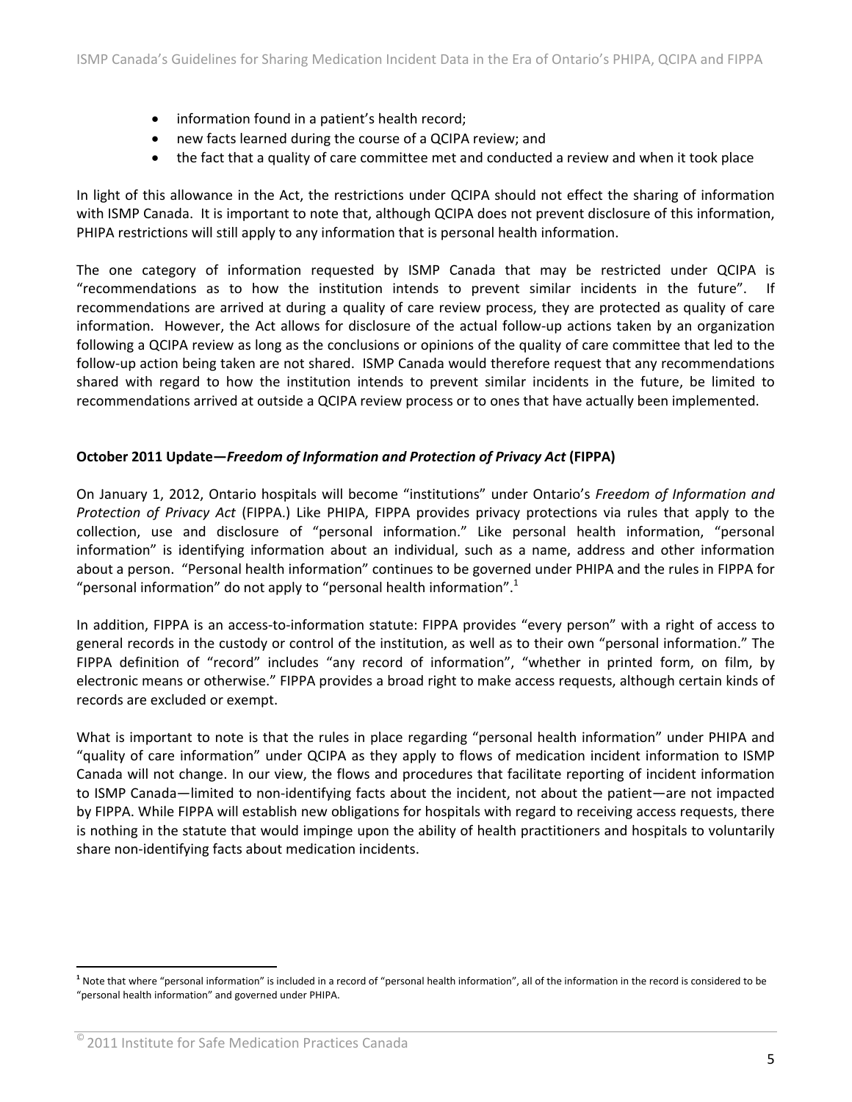- information found in a patient's health record;
- new facts learned during the course of a QCIPA review; and
- the fact that a quality of care committee met and conducted a review and when it took place

In light of this allowance in the Act, the restrictions under QCIPA should not effect the sharing of information with ISMP Canada. It is important to note that, although QCIPA does not prevent disclosure of this information, PHIPA restrictions will still apply to any information that is personal health information.

The one category of information requested by ISMP Canada that may be restricted under QCIPA is "recommendations as to how the institution intends to prevent similar incidents in the future". If recommendations are arrived at during a quality of care review process, they are protected as quality of care information. However, the Act allows for disclosure of the actual follow‐up actions taken by an organization following a QCIPA review as long as the conclusions or opinions of the quality of care committee that led to the follow‐up action being taken are not shared. ISMP Canada would therefore request that any recommendations shared with regard to how the institution intends to prevent similar incidents in the future, be limited to recommendations arrived at outside a QCIPA review process or to ones that have actually been implemented.

#### **October 2011 Update—***Freedom of Information and Protection of Privacy Act* **(FIPPA)**

On January 1, 2012, Ontario hospitals will become "institutions" under Ontario's *Freedom of Information and Protection of Privacy Act* (FIPPA.) Like PHIPA, FIPPA provides privacy protections via rules that apply to the collection, use and disclosure of "personal information." Like personal health information, "personal information" is identifying information about an individual, such as a name, address and other information about a person. "Personal health information" continues to be governed under PHIPA and the rules in FIPPA for "personal information" do not apply to "personal health information". $1$ 

In addition, FIPPA is an access‐to‐information statute: FIPPA provides "every person" with a right of access to general records in the custody or control of the institution, as well as to their own "personal information." The FIPPA definition of "record" includes "any record of information", "whether in printed form, on film, by electronic means or otherwise." FIPPA provides a broad right to make access requests, although certain kinds of records are excluded or exempt.

What is important to note is that the rules in place regarding "personal health information" under PHIPA and "quality of care information" under QCIPA as they apply to flows of medication incident information to ISMP Canada will not change. In our view, the flows and procedures that facilitate reporting of incident information to ISMP Canada—limited to non‐identifying facts about the incident, not about the patient—are not impacted by FIPPA. While FIPPA will establish new obligations for hospitals with regard to receiving access requests, there is nothing in the statute that would impinge upon the ability of health practitioners and hospitals to voluntarily share non‐identifying facts about medication incidents.

 $\overline{a}$ 

**<sup>1</sup>** Note that where "personal information" is included in a record of "personal health information", all of the information in the record is considered to be "personal health information" and governed under PHIPA.